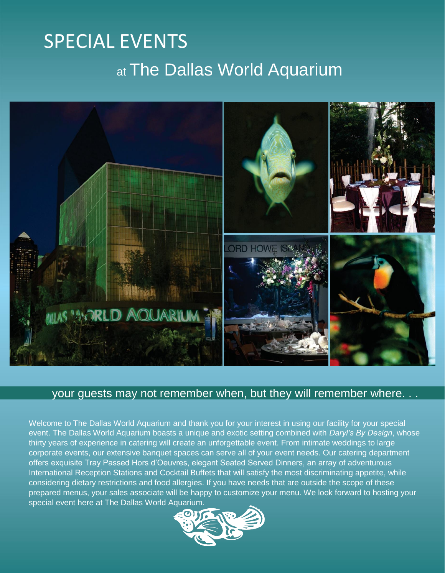# SPECIAL EVENTS at The Dallas World Aquarium



### your guests may not remember when, but they will remember where. . .

Welcome to The Dallas World Aquarium and thank you for your interest in using our facility for your special event. The Dallas World Aquarium boasts a unique and exotic setting combined with *Daryl's By Design*, whose thirty years of experience in catering will create an unforgettable event. From intimate weddings to large corporate events, our extensive banquet spaces can serve all of your event needs. Our catering department offers exquisite Tray Passed Hors d'Oeuvres, elegant Seated Served Dinners, an array of adventurous International Reception Stations and Cocktail Buffets that will satisfy the most discriminating appetite, while considering dietary restrictions and food allergies. If you have needs that are outside the scope of these prepared menus, your sales associate will be happy to customize your menu. We look forward to hosting your special event here at The Dallas World Aquarium.

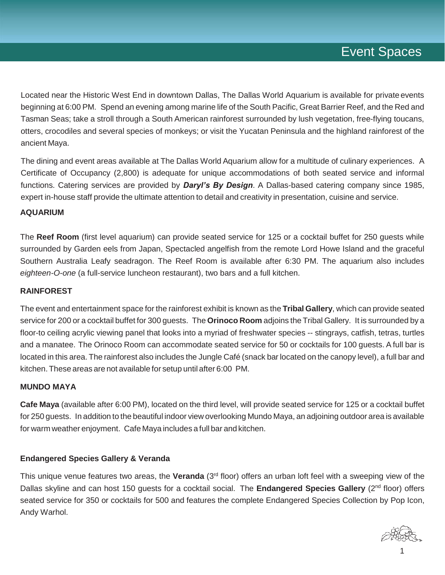## Event Spaces

Located near the Historic West End in downtown Dallas, The Dallas World Aquarium is available for private events beginning at 6:00 PM. Spend an evening among marine life of the South Pacific, Great Barrier Reef, and the Red and Tasman Seas; take a stroll through a South American rainforest surrounded by lush vegetation, free-flying toucans, otters, crocodiles and several species of monkeys; or visit the Yucatan Peninsula and the highland rainforest of the ancient Maya.

The dining and event areas available at The Dallas World Aquarium allow for a multitude of culinary experiences. A Certificate of Occupancy (2,800) is adequate for unique accommodations of both seated service and informal functions. Catering services are provided by *Daryl's By Design*. A Dallas-based catering company since 1985, expert in-house staff provide the ultimate attention to detail and creativity in presentation, cuisine and service.

#### **AQUARIUM**

The **Reef Room** (first level aquarium) can provide seated service for 125 or a cocktail buffet for 250 guests while surrounded by Garden eels from Japan, Spectacled angelfish from the remote Lord Howe Island and the graceful Southern Australia Leafy seadragon. The Reef Room is available after 6:30 PM. The aquarium also includes *eighteen-O-one* (a full-service luncheon restaurant), two bars and a full kitchen.

#### **RAINFOREST**

The event and entertainment space for the rainforest exhibit is known as the **Tribal Gallery**, which can provide seated service for 200 or a cocktail buffet for 300 guests. The **Orinoco Room** adjoins the Tribal Gallery. It is surrounded by a floor-to ceiling acrylic viewing panel that looks into a myriad of freshwater species -- stingrays, catfish, tetras, turtles and a manatee. The Orinoco Room can accommodate seated service for 50 or cocktails for 100 guests. A full bar is located in this area. The rainforest also includes the Jungle Café (snack bar located on the canopy level), a full bar and kitchen.These areas are not available for setup until after 6:00 PM.

#### **MUNDO MAYA**

**Cafe Maya** (available after 6:00 PM), located on the third level, will provide seated service for 125 or a cocktail buffet for 250 guests. In addition to the beautiful indoor view overlooking Mundo Maya, an adjoining outdoor area is available for warm weather enjoyment. Cafe Maya includes a full bar and kitchen.

#### **Endangered Species Gallery & Veranda**

This unique venue features two areas, the **Veranda** (3rd floor) offers an urban loft feel with a sweeping view of the Dallas skyline and can host 150 quests for a cocktail social. The **Endangered Species Gallery** (2<sup>nd</sup> floor) offers seated service for 350 or cocktails for 500 and features the complete Endangered Species Collection by Pop Icon, Andy Warhol.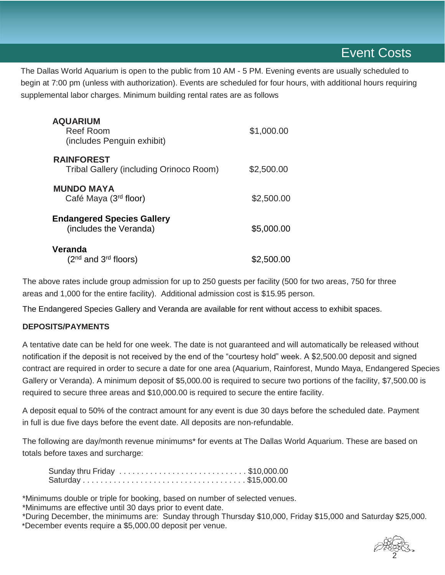The Dallas World Aquarium is open to the public from 10 AM - 5 PM. Evening events are usually scheduled to begin at 7:00 pm (unless with authorization). Events are scheduled for four hours, with additional hours requiring supplemental labor charges. Minimum building rental rates are as follows

| <b>AQUARIUM</b><br><b>Reef Room</b><br>(includes Penguin exhibit) | \$1,000.00 |
|-------------------------------------------------------------------|------------|
| <b>RAINFOREST</b><br>Tribal Gallery (including Orinoco Room)      | \$2,500.00 |
| <b>MUNDO MAYA</b><br>Café Maya (3 <sup>rd</sup> floor)            | \$2,500.00 |
| <b>Endangered Species Gallery</b><br>(includes the Veranda)       | \$5,000.00 |
| Veranda<br>$(2nd$ and $3rd$ floors)                               | \$2,500.00 |

The above rates include group admission for up to 250 guests per facility (500 for two areas, 750 for three areas and 1,000 for the entire facility). Additional admission cost is \$15.95 person.

The Endangered Species Gallery and Veranda are available for rent without access to exhibit spaces.

#### **DEPOSITS/PAYMENTS**

A tentative date can be held for one week. The date is not guaranteed and will automatically be released without notification if the deposit is not received by the end of the "courtesy hold" week. A \$2,500.00 deposit and signed contract are required in order to secure a date for one area (Aquarium, Rainforest, Mundo Maya, Endangered Species Gallery or Veranda). A minimum deposit of \$5,000.00 is required to secure two portions of the facility, \$7,500.00 is required to secure three areas and \$10,000.00 is required to secure the entire facility.

A deposit equal to 50% of the contract amount for any event is due 30 days before the scheduled date. Payment in full is due five days before the event date. All deposits are non-refundable.

The following are day/month revenue minimums\* for events at The Dallas World Aquarium. These are based on totals before taxes and surcharge:

| Sunday thru Friday \$10,000.00 |  |  |  |  |  |  |  |  |  |  |  |
|--------------------------------|--|--|--|--|--|--|--|--|--|--|--|
|                                |  |  |  |  |  |  |  |  |  |  |  |

\*Minimums double or triple for booking, based on number of selected venues.

\*Minimums are effective until 30 days prior to event date.

\*During December, the minimums are: Sunday through Thursday \$10,000, Friday \$15,000 and Saturday \$25,000. \*December events require a \$5,000.00 deposit per venue.

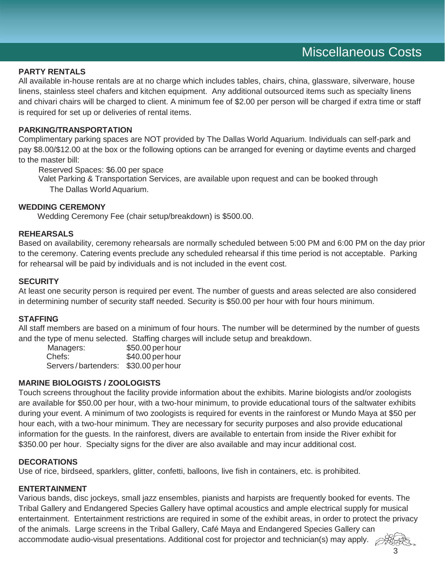#### **PARTY RENTALS**

All available in-house rentals are at no charge which includes tables, chairs, china, glassware, silverware, house linens, stainless steel chafers and kitchen equipment. Any additional outsourced items such as specialty linens and chivari chairs will be charged to client. A minimum fee of \$2.00 per person will be charged if extra time or staff is required for set up or deliveries of rental items.

#### **PARKING/TRANSPORTATION**

Complimentary parking spaces are NOT provided by The Dallas World Aquarium. Individuals can self-park and pay \$8.00/\$12.00 at the box or the following options can be arranged for evening or daytime events and charged to the master bill:

Reserved Spaces: \$6.00 per space

Valet Parking & Transportation Services, are available upon request and can be booked through The Dallas World Aquarium.

#### **WEDDING CEREMONY**

Wedding Ceremony Fee (chair setup/breakdown) is \$500.00.

#### **REHEARSALS**

Based on availability, ceremony rehearsals are normally scheduled between 5:00 PM and 6:00 PM on the day prior to the ceremony. Catering events preclude any scheduled rehearsal if this time period is not acceptable. Parking for rehearsal will be paid by individuals and is not included in the event cost.

#### **SECURITY**

At least one security person is required per event. The number of guests and areas selected are also considered in determining number of security staff needed. Security is \$50.00 per hour with four hours minimum.

#### **STAFFING**

All staff members are based on a minimum of four hours. The number will be determined by the number of guests and the type of menu selected. Staffing charges will include setup and breakdown.

| Managers:           | \$50.00 per hour |
|---------------------|------------------|
| Chefs:              | \$40.00 per hour |
| Servers/bartenders: | \$30.00 per hour |

#### **MARINE BIOLOGISTS / ZOOLOGISTS**

Touch screens throughout the facility provide information about the exhibits. Marine biologists and/or zoologists are available for \$50.00 per hour, with a two-hour minimum, to provide educational tours of the saltwater exhibits during your event. A minimum of two zoologists is required for events in the rainforest or Mundo Maya at \$50 per hour each, with a two-hour minimum. They are necessary for security purposes and also provide educational information for the guests. In the rainforest, divers are available to entertain from inside the River exhibit for \$350.00 per hour. Specialty signs for the diver are also available and may incur additional cost.

#### **DECORATIONS**

Use of rice, birdseed, sparklers, glitter, confetti, balloons, live fish in containers, etc. is prohibited.

#### **ENTERTAINMENT**

Various bands, disc jockeys, small jazz ensembles, pianists and harpists are frequently booked for events. The Tribal Gallery and Endangered Species Gallery have optimal acoustics and ample electrical supply for musical entertainment. Entertainment restrictions are required in some of the exhibit areas, in order to protect the privacy of the animals. Large screens in the Tribal Gallery, Café Maya and Endangered Species Gallery can accommodate audio-visual presentations. Additional cost for projector and technician(s) may apply.  $\varphi$ 

3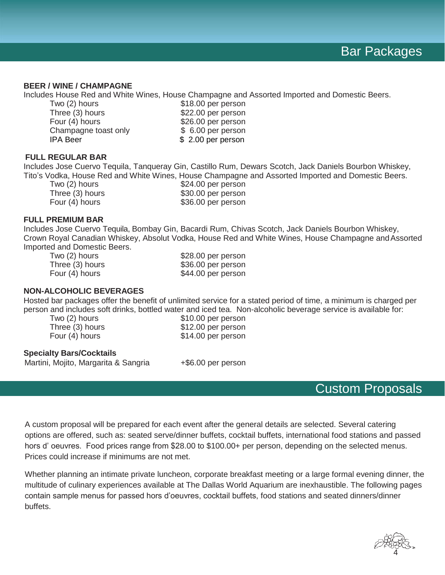#### **BEER / WINE / CHAMPAGNE**

Includes House Red and White Wines, House Champagne and Assorted Imported and Domestic Beers.

| Two (2) hours        | \$18.00 per person |
|----------------------|--------------------|
| Three (3) hours      | \$22.00 per person |
| Four (4) hours       | \$26.00 per person |
| Champagne toast only | \$ 6.00 per person |
| IPA Beer             | \$2.00 per person  |
|                      |                    |

#### **FULL REGULAR BAR**

Includes Jose Cuervo Tequila, Tanqueray Gin, Castillo Rum, Dewars Scotch, Jack Daniels Bourbon Whiskey, Tito's Vodka, House Red and White Wines, House Champagne and Assorted Imported and Domestic Beers.

Two (2) hours  $$24.00$  per person<br>Three (3) hours  $$30.00$  per person \$30.00 per person Four (4) hours \$36.00 per person

#### **FULL PREMIUM BAR**

Includes Jose Cuervo Tequila, Bombay Gin, Bacardi Rum, Chivas Scotch, Jack Daniels Bourbon Whiskey, Crown Royal Canadian Whiskey, Absolut Vodka, House Red and White Wines, House Champagne and Assorted Imported and Domestic Beers.<br>Two (2) hours

\$28.00 per person Three (3) hours \$36.00 per person Four (4) hours \$44.00 per person

#### **NON-ALCOHOLIC BEVERAGES**

Hosted bar packages offer the benefit of unlimited service for a stated period of time, a minimum is charged per person and includes soft drinks, bottled water and iced tea. Non-alcoholic beverage service is available for:

Two (2) hours \$10.00 per person Three (3) hours \$12.00 per person Four (4) hours \$14.00 per person

#### **Specialty Bars/Cocktails**

Martini, Mojito, Margarita & Sangria +\$6.00 per person

### Custom Proposals

A custom proposal will be prepared for each event after the general details are selected. Several catering options are offered, such as: seated serve/dinner buffets, cocktail buffets, international food stations and passed hors d' oeuvres. Food prices range from \$28.00 to \$100.00+ per person, depending on the selected menus. Prices could increase if minimums are not met.

Whether planning an intimate private luncheon, corporate breakfast meeting or a large formal evening dinner, the multitude of culinary experiences available at The Dallas World Aquarium are inexhaustible. The following pages contain sample menus for passed hors d'oeuvres, cocktail buffets, food stations and seated dinners/dinner buffets.

4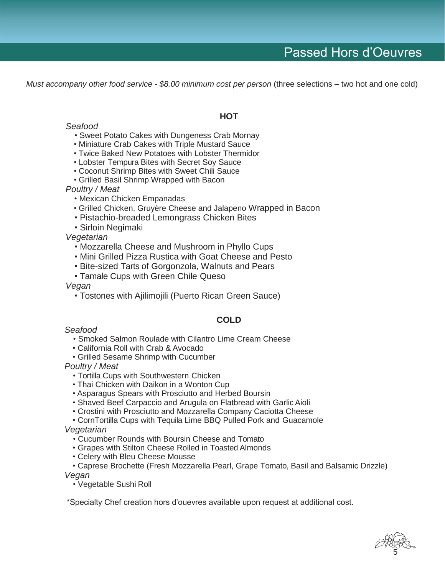*Must accompany other food service - \$8.00 minimum cost per person* (three selections – two hot and one cold)

#### *Seafood*

- Sweet Potato Cakes with Dungeness Crab Mornay
- Miniature Crab Cakes with Triple Mustard Sauce
- Twice Baked New Potatoes with Lobster Thermidor
- Lobster Tempura Bites with Secret Soy Sauce
- Coconut Shrimp Bites with Sweet Chili Sauce
- Grilled Basil Shrimp Wrapped with Bacon
- *Poultry / Meat*
	- Mexican Chicken Empanadas
	- Grilled Chicken, Gruyère Cheese and Jalapeno Wrapped in Bacon
	- Pistachio-breaded Lemongrass Chicken Bites
	- Sirloin Negimaki

*Vegetarian*

- Mozzarella Cheese and Mushroom in Phyllo Cups
- Mini Grilled Pizza Rustica with Goat Cheese and Pesto
- Bite-sized Tarts of Gorgonzola, Walnuts and Pears
- Tamale Cups with Green Chile Queso

*Vegan*

• Tostones with Ajilimojili (Puerto Rican Green Sauce)

#### **COLD**

#### *Seafood*

- Smoked Salmon Roulade with Cilantro Lime Cream Cheese
- California Roll with Crab & Avocado
- Grilled Sesame Shrimp with Cucumber

*Poultry / Meat*

- Tortilla Cups with Southwestern Chicken
- Thai Chicken with Daikon in a Wonton Cup
- Asparagus Spears with Prosciutto and Herbed Boursin
- Shaved Beef Carpaccio and Arugula on Flatbread with Garlic Aioli
- Crostini with Prosciutto and Mozzarella Company Caciotta Cheese

• CornTortilla Cups with Tequila Lime BBQ Pulled Pork and Guacamole *Vegetarian*

- Cucumber Rounds with Boursin Cheese and Tomato
- Grapes with Stilton Cheese Rolled in Toasted Almonds
- Celery with Bleu Cheese Mousse
- Caprese Brochette (Fresh Mozzarella Pearl, Grape Tomato, Basil and Balsamic Drizzle) *Vegan*

• Vegetable Sushi Roll

\*Specialty Chef creation hors d'ouevres available upon request at additional cost.



#### **HOT**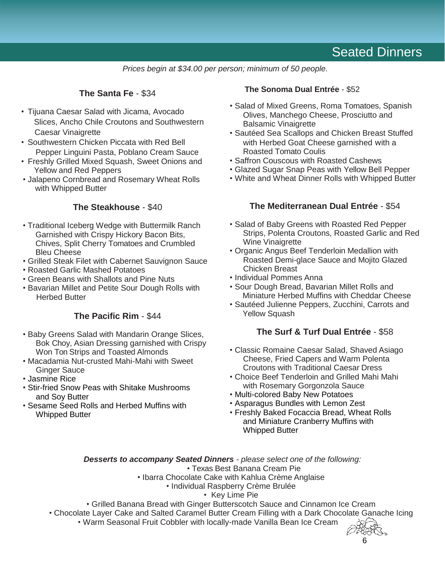### Seated Dinners

*Prices begin at \$34.00 per person; minimum of 50 people.*

#### **The Santa Fe** - \$34

- Tijuana Caesar Salad with Jicama, Avocado Slices, Ancho Chile Croutons and Southwestern Caesar Vinaigrette
- Southwestern Chicken Piccata with Red Bell Pepper Linguini Pasta, Poblano Cream Sauce
- Freshly Grilled Mixed Squash, Sweet Onions and Yellow and Red Peppers
- Jalapeno Cornbread and Rosemary Wheat Rolls with Whipped Butter

#### **The Steakhouse** - \$40

- Traditional Iceberg Wedge with Buttermilk Ranch Garnished with Crispy Hickory Bacon Bits, Chives, Split Cherry Tomatoes and Crumbled Bleu Cheese
- Grilled Steak Filet with Cabernet Sauvignon Sauce
- Roasted Garlic Mashed Potatoes
- Green Beans with Shallots and Pine Nuts
- Bavarian Millet and Petite Sour Dough Rolls with Herbed Butter

#### **The Pacific Rim** - \$44

- Baby Greens Salad with Mandarin Orange Slices, Bok Choy, Asian Dressing garnished with Crispy Won Ton Strips and Toasted Almonds
- Macadamia Nut-crusted Mahi-Mahi with Sweet Ginger Sauce
- Jasmine Rice
- Stir-fried Snow Peas with Shitake Mushrooms and Soy Butter
- Sesame Seed Rolls and Herbed Muffins with Whipped Butter

#### **The Sonoma Dual Entrée** - \$52

- Salad of Mixed Greens, Roma Tomatoes, Spanish Olives, Manchego Cheese, Prosciutto and Balsamic Vinaigrette
- Sautéed Sea Scallops and Chicken Breast Stuffed with Herbed Goat Cheese garnished with a Roasted Tomato Coulis
- Saffron Couscous with Roasted Cashews
- Glazed Sugar Snap Peas with Yellow Bell Pepper
- White and Wheat Dinner Rolls with Whipped Butter

#### **The Mediterranean Dual Entrée** - \$54

- Salad of Baby Greens with Roasted Red Pepper Strips, Polenta Croutons, Roasted Garlic and Red Wine Vinaigrette
- Organic Angus Beef Tenderloin Medallion with Roasted Demi-glace Sauce and Mojito Glazed Chicken Breast
- Individual Pommes Anna
- Sour Dough Bread, Bavarian Millet Rolls and Miniature Herbed Muffins with Cheddar Cheese
- Sautéed Julienne Peppers, Zucchini, Carrots and Yellow Squash

#### **The Surf & Turf Dual Entrée** - \$58

- Classic Romaine Caesar Salad, Shaved Asiago Cheese, Fried Capers and Warm Polenta Croutons with Traditional Caesar Dress
- Choice Beef Tenderloin and Grilled Mahi Mahi with Rosemary Gorgonzola Sauce
- Multi-colored Baby New Potatoes
- Asparagus Bundles with Lemon Zest
- Freshly Baked Focaccia Bread, Wheat Rolls and Miniature Cranberry Muffins with Whipped Butter

*Desserts to accompany Seated Dinners - please select one of the following:*

• Texas Best Banana Cream Pie

- Ibarra Chocolate Cake with Kahlua Crème Anglaise
	- Individual Raspberry Crème Brulée
		- Key Lime Pie
- Grilled Banana Bread with Ginger Butterscotch Sauce and Cinnamon Ice Cream
- Chocolate Layer Cake and Salted Caramel Butter Cream Filling with a Dark Chocolate Ganache Icing
	- Warm Seasonal Fruit Cobbler with locally-made Vanilla Bean Ice Cream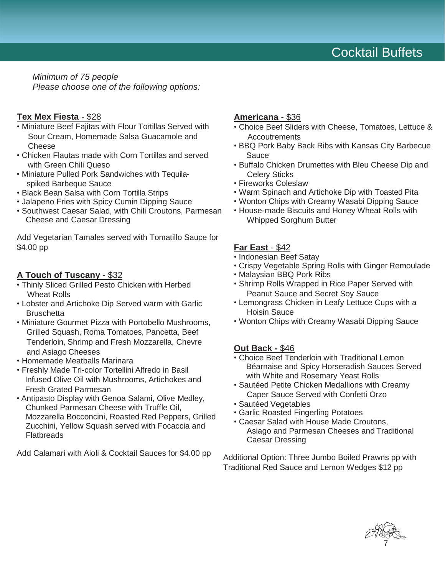*Minimum of 75 people Please choose one of the following options:*

#### **Tex Mex Fiesta** - \$28

- Miniature Beef Fajitas with Flour Tortillas Served with Sour Cream, Homemade Salsa Guacamole and Cheese
- Chicken Flautas made with Corn Tortillas and served with Green Chili Queso
- Miniature Pulled Pork Sandwiches with Tequilaspiked Barbeque Sauce
- Black Bean Salsa with Corn Tortilla Strips
- Jalapeno Fries with Spicy Cumin Dipping Sauce
- Southwest Caesar Salad, with Chili Croutons, Parmesan Cheese and Caesar Dressing

Add Vegetarian Tamales served with Tomatillo Sauce for \$4.00 pp

#### **A Touch of Tuscany** - \$32

- Thinly Sliced Grilled Pesto Chicken with Herbed Wheat Rolls
- Lobster and Artichoke Dip Served warm with Garlic **Bruschetta**
- Miniature Gourmet Pizza with Portobello Mushrooms, Grilled Squash, Roma Tomatoes, Pancetta, Beef Tenderloin, Shrimp and Fresh Mozzarella, Chevre and Asiago Cheeses
- Homemade Meatballs Marinara
- Freshly Made Tri-color Tortellini Alfredo in Basil Infused Olive Oil with Mushrooms, Artichokes and Fresh Grated Parmesan
- Antipasto Display with Genoa Salami, Olive Medley, Chunked Parmesan Cheese with Truffle Oil, Mozzarella Bocconcini, Roasted Red Peppers, Grilled Zucchini, Yellow Squash served with Focaccia and **Flatbreads**

Add Calamari with Aioli & Cocktail Sauces for \$4.00 pp

#### **Americana** - \$36

- Choice Beef Sliders with Cheese, Tomatoes, Lettuce & **Accoutrements**
- BBQ Pork Baby Back Ribs with Kansas City Barbecue Sauce
- Buffalo Chicken Drumettes with Bleu Cheese Dip and Celery Sticks
- Fireworks Coleslaw
- Warm Spinach and Artichoke Dip with Toasted Pita
- Wonton Chips with Creamy Wasabi Dipping Sauce
- House-made Biscuits and Honey Wheat Rolls with Whipped Sorghum Butter

#### **Far East** - \$42

- Indonesian Beef Satay
- Crispy Vegetable Spring Rolls with Ginger Remoulade
- Malaysian BBQ Pork Ribs
- Shrimp Rolls Wrapped in Rice Paper Served with Peanut Sauce and Secret Soy Sauce
- Lemongrass Chicken in Leafy Lettuce Cups with a Hoisin Sauce
- Wonton Chips with Creamy Wasabi Dipping Sauce

#### **Out Back -** \$46

- Choice Beef Tenderloin with Traditional Lemon Béarnaise and Spicy Horseradish Sauces Served with White and Rosemary Yeast Rolls
- Sautéed Petite Chicken Medallions with Creamy Caper Sauce Served with Confetti Orzo
- Sautéed Vegetables
- Garlic Roasted Fingerling Potatoes
- Caesar Salad with House Made Croutons, Asiago and Parmesan Cheeses and Traditional Caesar Dressing

Additional Option: Three Jumbo Boiled Prawns pp with Traditional Red Sauce and Lemon Wedges \$12 pp

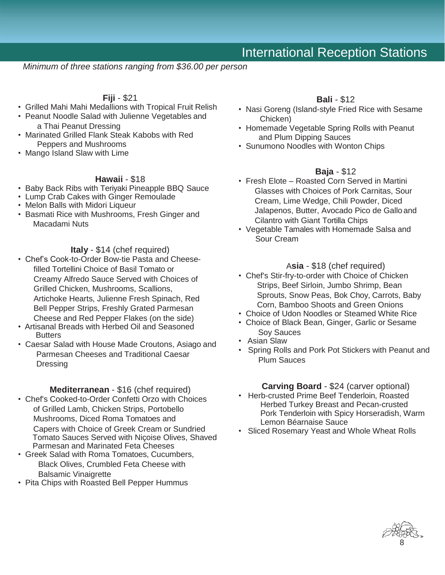### International Reception Stations

*Minimum of three stations ranging from \$36.00 per person*

#### **Fiji** - \$21

- Grilled Mahi Mahi Medallions with Tropical Fruit Relish
- Peanut Noodle Salad with Julienne Vegetables and a Thai Peanut Dressing
- Marinated Grilled Flank Steak Kabobs with Red Peppers and Mushrooms
- Mango Island Slaw with Lime

#### **Hawaii** - \$18

- Baby Back Ribs with Teriyaki Pineapple BBQ Sauce
- Lump Crab Cakes with Ginger Remoulade
- Melon Balls with Midori Liqueur
- Basmati Rice with Mushrooms, Fresh Ginger and Macadami Nuts

#### **Italy** - \$14 (chef required)

- Chef's Cook-to-Order Bow-tie Pasta and Cheesefilled Tortellini Choice of Basil Tomato or Creamy Alfredo Sauce Served with Choices of Grilled Chicken, Mushrooms, Scallions, Artichoke Hearts, Julienne Fresh Spinach, Red Bell Pepper Strips, Freshly Grated Parmesan Cheese and Red Pepper Flakes (on the side)
- Artisanal Breads with Herbed Oil and Seasoned **Butters**
- Caesar Salad with House Made Croutons, Asiago and Parmesan Cheeses and Traditional Caesar **Dressing**

#### **Mediterranean** - \$16 (chef required)

- Chef's Cooked-to-Order Confetti Orzo with Choices of Grilled Lamb, Chicken Strips, Portobello Mushrooms, Diced Roma Tomatoes and Capers with Choice of Greek Cream or Sundried Tomato Sauces Served with Niçoise Olives, Shaved Parmesan and Marinated Feta Cheeses
- Greek Salad with Roma Tomatoes, Cucumbers, Black Olives, Crumbled Feta Cheese with Balsamic Vinaigrette
- Pita Chips with Roasted Bell Pepper Hummus

#### **Bali** - \$12

- Nasi Goreng (Island-style Fried Rice with Sesame Chicken)
- Homemade Vegetable Spring Rolls with Peanut and Plum Dipping Sauces
- Sunumono Noodles with Wonton Chips

#### **Baja** - \$12

- Fresh Elote Roasted Corn Served in Martini Glasses with Choices of Pork Carnitas, Sour Cream, Lime Wedge, Chili Powder, Diced Jalapenos, Butter, Avocado Pico de Gallo and Cilantro with Giant Tortilla Chips
- Vegetable Tamales with Homemade Salsa and Sour Cream

#### A**sia** - \$18 (chef required)

- Chef's Stir-fry-to-order with Choice of Chicken Strips, Beef Sirloin, Jumbo Shrimp, Bean Sprouts, Snow Peas, Bok Choy, Carrots, Baby Corn, Bamboo Shoots and Green Onions
- Choice of Udon Noodles or Steamed White Rice
- Choice of Black Bean, Ginger, Garlic or Sesame Soy Sauces
- Asian Slaw
- Spring Rolls and Pork Pot Stickers with Peanut and Plum Sauces

#### **Carving Board** - \$24 (carver optional)

- Herb-crusted Prime Beef Tenderloin, Roasted Herbed Turkey Breast and Pecan-crusted Pork Tenderloin with Spicy Horseradish, Warm Lemon Béarnaise Sauce
- Sliced Rosemary Yeast and Whole Wheat Rolls

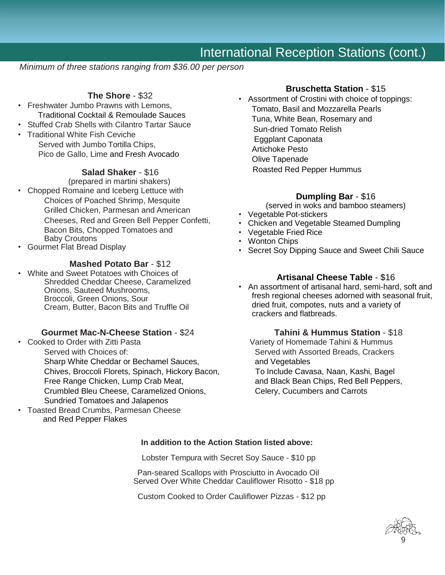### International Reception Stations (cont.)

 *Minimum of three stations ranging from \$36.00 per person*

### **The Shore** - \$32

- Freshwater Jumbo Prawns with Lemons, Traditional Cocktail & Remoulade Sauces
- Stuffed Crab Shells with Cilantro Tartar Sauce
- Traditional White Fish Ceviche Served with Jumbo Tortilla Chips, Pico de Gallo, Lime and Fresh Avocado

#### **Salad Shaker** - \$16

(prepared in martini shakers)

- Chopped Romaine and Iceberg Lettuce with Choices of Poached Shrimp, Mesquite Grilled Chicken, Parmesan and American Cheeses, Red and Green Bell Pepper Confetti, Bacon Bits, Chopped Tomatoes and Baby Croutons
- Gourmet Flat Bread Display

#### **Mashed Potato Bar** - \$12

• White and Sweet Potatoes with Choices of Shredded Cheddar Cheese, Caramelized Onions, Sauteed Mushrooms, Broccoli, Green Onions, Sour Cream, Butter, Bacon Bits and Truffle Oil

#### **Gourmet Mac-N-Cheese Station** - \$24 **Tahini & Hummus Station** - \$18

- Cooked to Order with Zitti Pasta Variety of Homemade Tahini & Hummus Served with Choices of: Served with Assorted Breads, Crackers Sharp White Cheddar or Bechamel Sauces, and Vegetables Chives, Broccoli Florets, Spinach, Hickory Bacon, To Include Cavasa, Naan, Kashi, Bagel Free Range Chicken, Lump Crab Meat, and Black Bean Chips, Red Bell Peppers, Crumbled Bleu Cheese, Caramelized Onions, Celery, Cucumbers and Carrots Sundried Tomatoes and Jalapenos
- Toasted Bread Crumbs, Parmesan Cheese and Red Pepper Flakes

#### **Bruschetta Station** - \$15

• Assortment of Crostini with choice of toppings: Tomato, Basil and Mozzarella Pearls Tuna, White Bean, Rosemary and Sun-dried Tomato Relish Eggplant Caponata Artichoke Pesto Olive Tapenade Roasted Red Pepper Hummus

#### **Dumpling Bar** - \$16

- (served in woks and bamboo steamers)
- Vegetable Pot-stickers
- Chicken and Vegetable Steamed Dumpling
- Vegetable Fried Rice
- Wonton Chips
- Secret Soy Dipping Sauce and Sweet Chili Sauce

#### **Artisanal Cheese Table** - \$16

• An assortment of artisanal hard, semi-hard, soft and fresh regional cheeses adorned with seasonal fruit, dried fruit, compotes, nuts and a variety of crackers and flatbreads.

#### **In addition to the Action Station listed above:**

Lobster Tempura with Secret Soy Sauce - \$10 pp

 Pan-seared Scallops with Prosciutto in Avocado Oil Served Over White Cheddar Cauliflower Risotto - \$18 pp

Custom Cooked to Order Cauliflower Pizzas - \$12 pp